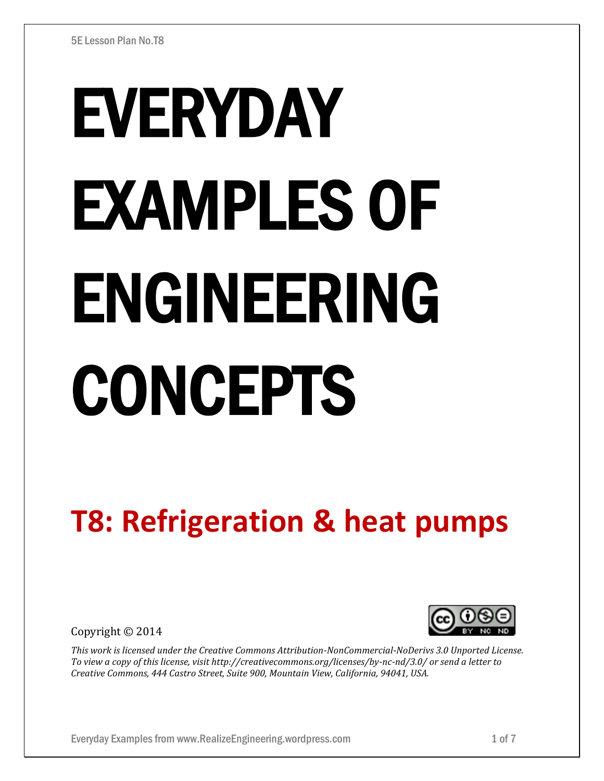# EVERYDAY EXAMPLES OF ENGINEERING CONCEPTS

# **T8: Refrigeration & heat pumps**

Copyright © 2014



*This work is licensed under the Creative Commons Attribution-NonCommercial-NoDerivs 3.0 Unported License. To view a copy of this license, visit http://creativecommons.org/licenses/by-nc-nd/3.0/ or send a letter to Creative Commons, 444 Castro Street, Suite 900, Mountain View, California, 94041, USA.*

Everyday Examples from www.RealizeEngineering.wordpress.com 1 of 7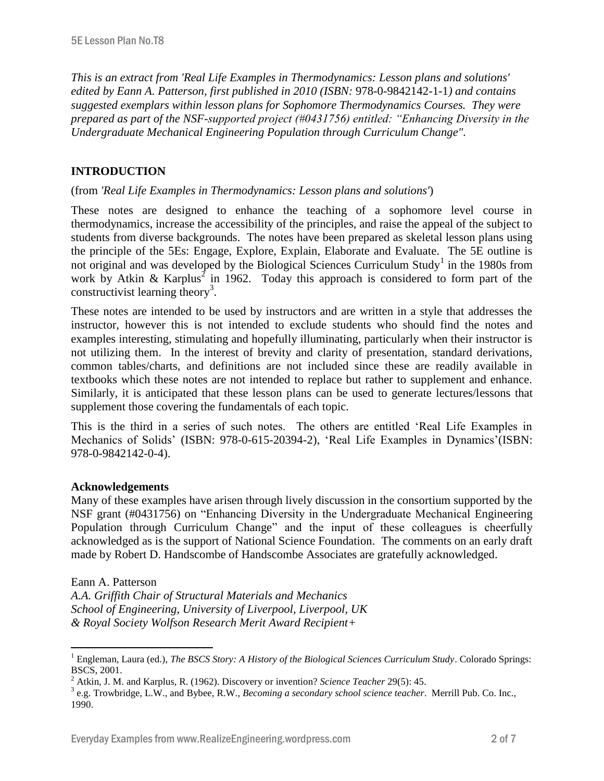*This is an extract from 'Real Life Examples in Thermodynamics: Lesson plans and solutions' edited by Eann A. Patterson, first published in 2010 (ISBN:* 978-0-9842142-1-1*) and contains suggested exemplars within lesson plans for Sophomore Thermodynamics Courses. They were prepared as part of the NSF-supported project (#0431756) entitled: "Enhancing Diversity in the Undergraduate Mechanical Engineering Population through Curriculum Change".* 

# **INTRODUCTION**

#### (from *'Real Life Examples in Thermodynamics: Lesson plans and solutions'*)

These notes are designed to enhance the teaching of a sophomore level course in thermodynamics, increase the accessibility of the principles, and raise the appeal of the subject to students from diverse backgrounds. The notes have been prepared as skeletal lesson plans using the principle of the 5Es: Engage, Explore, Explain, Elaborate and Evaluate. The 5E outline is not original and was developed by the Biological Sciences Curriculum Study<sup>1</sup> in the 1980s from work by Atkin & Karplus<sup>2</sup> in 1962. Today this approach is considered to form part of the constructivist learning theory<sup>3</sup>.

These notes are intended to be used by instructors and are written in a style that addresses the instructor, however this is not intended to exclude students who should find the notes and examples interesting, stimulating and hopefully illuminating, particularly when their instructor is not utilizing them. In the interest of brevity and clarity of presentation, standard derivations, common tables/charts, and definitions are not included since these are readily available in textbooks which these notes are not intended to replace but rather to supplement and enhance. Similarly, it is anticipated that these lesson plans can be used to generate lectures/lessons that supplement those covering the fundamentals of each topic.

This is the third in a series of such notes. The others are entitled 'Real Life Examples in Mechanics of Solids' (ISBN: 978-0-615-20394-2), 'Real Life Examples in Dynamics'(ISBN: 978-0-9842142-0-4).

#### **Acknowledgements**

Many of these examples have arisen through lively discussion in the consortium supported by the NSF grant (#0431756) on "Enhancing Diversity in the Undergraduate Mechanical Engineering Population through Curriculum Change" and the input of these colleagues is cheerfully acknowledged as is the support of National Science Foundation. The comments on an early draft made by Robert D. Handscombe of Handscombe Associates are gratefully acknowledged.

#### Eann A. Patterson

 $\overline{a}$ 

*A.A. Griffith Chair of Structural Materials and Mechanics School of Engineering, University of Liverpool, Liverpool, UK & Royal Society Wolfson Research Merit Award Recipient+*

<sup>&</sup>lt;sup>1</sup> Engleman, Laura (ed.), *The BSCS Story: A History of the Biological Sciences Curriculum Study*. Colorado Springs: BSCS, 2001.

<sup>2</sup> Atkin, J. M. and Karplus, R. (1962). Discovery or invention? *Science Teacher* 29(5): 45.

<sup>3</sup> e.g. Trowbridge, L.W., and Bybee, R.W., *Becoming a secondary school science teacher*. Merrill Pub. Co. Inc., 1990.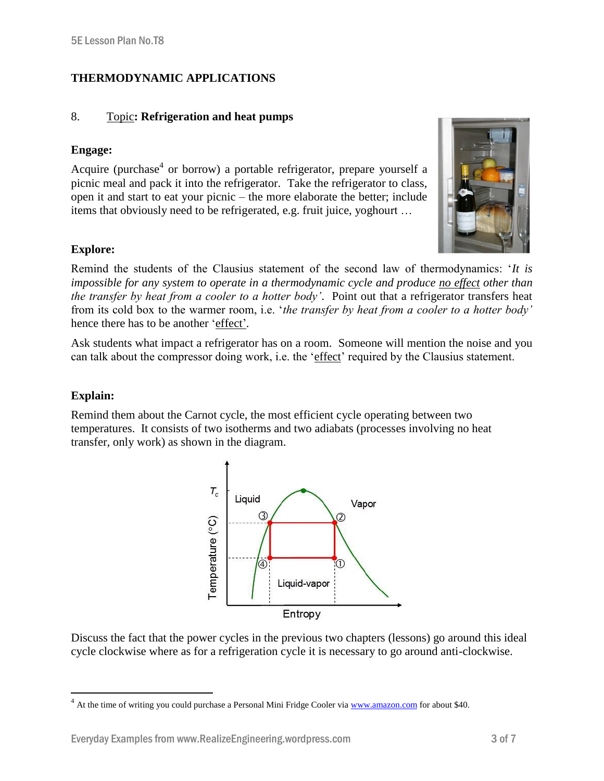# **THERMODYNAMIC APPLICATIONS**

#### 8. Topic**: Refrigeration and heat pumps**

#### **Engage:**

Acquire (purchase<sup>4</sup> or borrow) a portable refrigerator, prepare yourself a picnic meal and pack it into the refrigerator. Take the refrigerator to class, open it and start to eat your picnic – the more elaborate the better; include items that obviously need to be refrigerated, e.g. fruit juice, yoghourt …



# **Explore:**

Remind the students of the Clausius statement of the second law of thermodynamics: '*It is impossible for any system to operate in a thermodynamic cycle and produce no effect other than the transfer by heat from a cooler to a hotter body'*. Point out that a refrigerator transfers heat from its cold box to the warmer room, i.e. '*the transfer by heat from a cooler to a hotter body'*  hence there has to be another 'effect'*.* 

Ask students what impact a refrigerator has on a room. Someone will mention the noise and you can talk about the compressor doing work, i.e. the 'effect' required by the Clausius statement.

#### **Explain:**

 $\overline{a}$ 

Remind them about the Carnot cycle, the most efficient cycle operating between two temperatures. It consists of two isotherms and two adiabats (processes involving no heat transfer, only work) as shown in the diagram.



Discuss the fact that the power cycles in the previous two chapters (lessons) go around this ideal cycle clockwise where as for a refrigeration cycle it is necessary to go around anti-clockwise.

<sup>&</sup>lt;sup>4</sup> At the time of writing you could purchase a Personal Mini Fridge Cooler vi[a www.amazon.com](http://www.amazon.com/) for about \$40.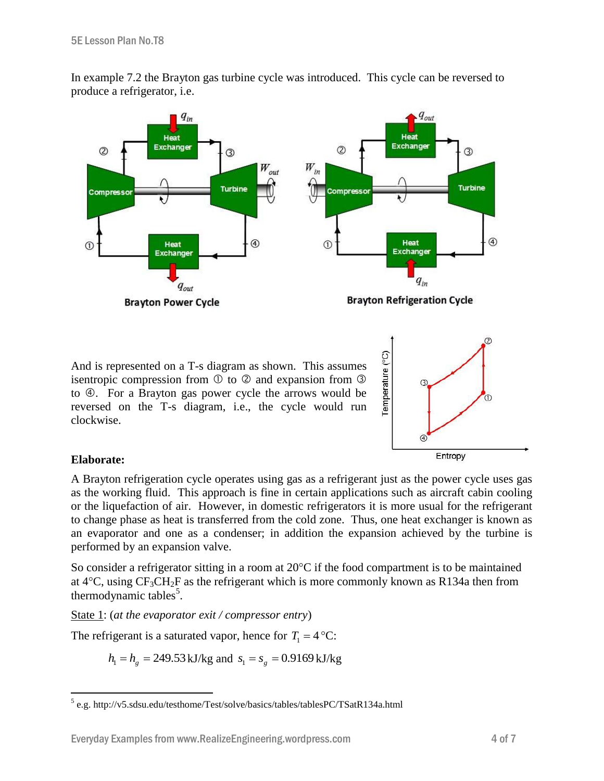

In example 7.2 the Brayton gas turbine cycle was introduced. This cycle can be reversed to produce a refrigerator, i.e.

And is represented on a T-s diagram as shown. This assumes isentropic compression from  $\odot$  to  $\odot$  and expansion from  $\odot$ to  $\Phi$ . For a Brayton gas power cycle the arrows would be reversed on the T-s diagram, i.e., the cycle would run clockwise.



# **Elaborate:**

A Brayton refrigeration cycle operates using gas as a refrigerant just as the power cycle uses gas as the working fluid. This approach is fine in certain applications such as aircraft cabin cooling or the liquefaction of air. However, in domestic refrigerators it is more usual for the refrigerant to change phase as heat is transferred from the cold zone. Thus, one heat exchanger is known as an evaporator and one as a condenser; in addition the expansion achieved by the turbine is performed by an expansion valve.

So consider a refrigerator sitting in a room at  $20^{\circ}$ C if the food compartment is to be maintained at  $4^{\circ}$ C, using CF<sub>3</sub>CH<sub>2</sub>F as the refrigerant which is more commonly known as R134a then from thermodynamic tables<sup>5</sup>.

State 1: (*at the evaporator exit / compressor entry*)

The refrigerant is a saturated vapor, hence for  $T_1 = 4$  °C:

 $h_1 = h_g = 249.53 \text{ kJ/kg}$  and  $s_1 = s_g = 0.9169 \text{ kJ/kg}$ 

 5 e.g. http://v5.sdsu.edu/testhome/Test/solve/basics/tables/tablesPC/TSatR134a.html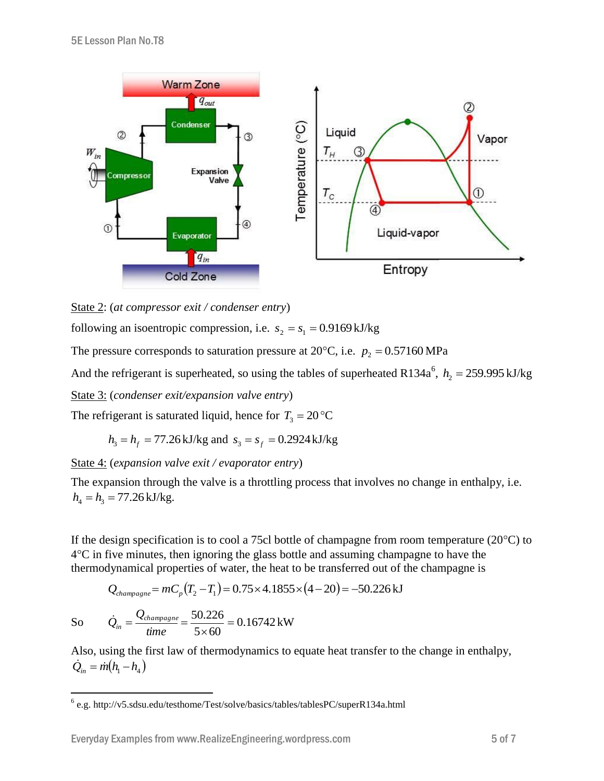

State 2: (*at compressor exit / condenser entry*)

following an isoentropic compression, i.e.  $s_2 = s_1 = 0.9169 \text{ kJ/kg}$ 

The pressure corresponds to saturation pressure at  $20^{\circ}$ C, i.e.  $p_2 = 0.57160$  MPa

And the refrigerant is superheated, so using the tables of superheated R134a<sup>6</sup>,  $h_2 = 259.995 \text{ kJ/kg}$ 

State 3: (*condenser exit/expansion valve entry*)

The refrigerant is saturated liquid, hence for  $T_3 = 20 \degree \text{C}$ 

$$
h_3 = h_f = 77.26 \text{ kJ/kg}
$$
 and  $s_3 = s_f = 0.2924 \text{ kJ/kg}$ 

State 4: (*expansion valve exit / evaporator entry*)

The expansion through the valve is a throttling process that involves no change in enthalpy, i.e.  $h_4 = h_3 = 77.26 \text{ kJ/kg}.$ 

If the design specification is to cool a 75cl bottle of champagne from room temperature  $(20^{\circ}C)$  to  $4^{\circ}$ C in five minutes, then ignoring the glass bottle and assuming champagne to have the thermodynamical properties of water, the heat to be transferred out of the champagne is

$$
Q_{\text{champagne}} = mC_p \left( T_2 - T_1 \right) = 0.75 \times 4.1855 \times \left( 4 - 20 \right) = -50.226 \,\text{kJ}
$$

So 
$$
\dot{Q}_{in} = \frac{Q_{champagne}}{time} = \frac{50.226}{5 \times 60} = 0.16742 \text{ kW}
$$

Also, using the first law of thermodynamics to equate heat transfer to the change in enthalpy,  $\dot{Q}_i = \dot{m} (h_1 - h_4)$ 

 6 e.g. http://v5.sdsu.edu/testhome/Test/solve/basics/tables/tablesPC/superR134a.html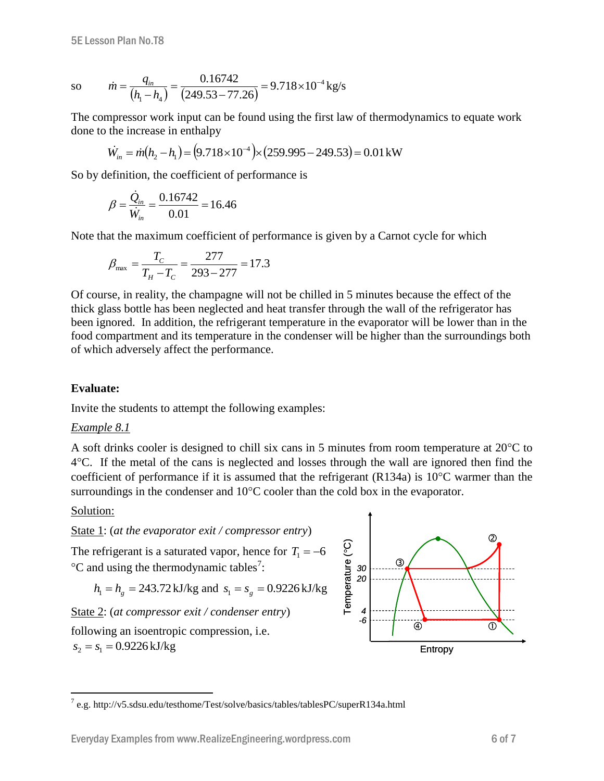so

$$
\dot{m} = \frac{q_{in}}{(h_{1} - h_{4})} = \frac{0.16742}{(249.53 - 77.26)} = 9.718 \times 10^{-4} \,\text{kg/s}
$$

The compressor work input can be found using the first law of thermodynamics to equate work done to the increase in enthalpy

$$
\dot{W}_{in} = \dot{m}(h_2 - h_1) = (9.718 \times 10^{-4}) \times (259.995 - 249.53) = 0.01 \,\text{kW}
$$

So by definition, the coefficient of performance is

$$
\beta = \frac{\dot{Q}_{in}}{\dot{W}_{in}} = \frac{0.16742}{0.01} = 16.46
$$

Note that the maximum coefficient of performance is given by a Carnot cycle for which

$$
\beta_{\text{max}} = \frac{T_C}{T_H - T_C} = \frac{277}{293 - 277} = 17.3
$$

Of course, in reality, the champagne will not be chilled in 5 minutes because the effect of the thick glass bottle has been neglected and heat transfer through the wall of the refrigerator has been ignored. In addition, the refrigerant temperature in the evaporator will be lower than in the food compartment and its temperature in the condenser will be higher than the surroundings both of which adversely affect the performance.

### **Evaluate:**

Invite the students to attempt the following examples:

#### *Example 8.1*

A soft drinks cooler is designed to chill six cans in 5 minutes from room temperature at  $20^{\circ}$ C to 4C. If the metal of the cans is neglected and losses through the wall are ignored then find the coefficient of performance if it is assumed that the refrigerant  $(R134a)$  is 10<sup>o</sup>C warmer than the surroundings in the condenser and  $10^{\circ}$ C cooler than the cold box in the evaporator.

# Solution:

 $\overline{a}$ 

State 1: (*at the evaporator exit / compressor entry*)

The refrigerant is a saturated vapor, hence for  $T_1 = -6$  $\mathrm{^{\circ}C}$  and using the thermodynamic tables<sup>7</sup>:

$$
h_1 = h_g = 243.72 \text{ kJ/kg}
$$
 and  $s_1 = s_g = 0.9226 \text{ kJ/kg}$ 

State 2: (*at compressor exit / condenser entry*)

following an isoentropic compression, i.e.  $s_2 = s_1 = 0.9226 \text{ kJ/kg}$ 



<sup>&</sup>lt;sup>7</sup> e.g. http://v5.sdsu.edu/testhome/Test/solve/basics/tables/tablesPC/superR134a.html